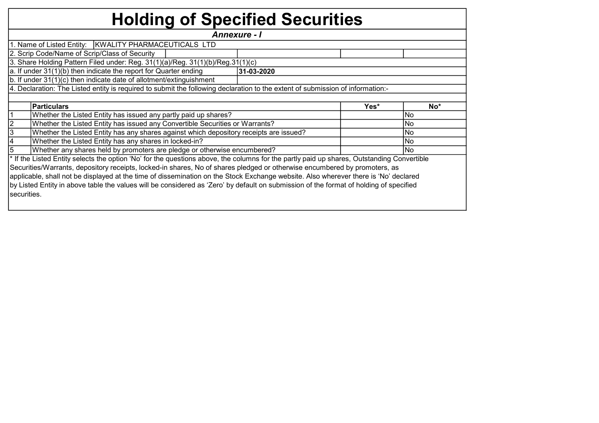## Holding of Specified Securities

Yes\* No\* 1 No | Whether the Listed Entity has issued any partly paid up shares?<br>
and the state of the Listed Entity has issued any partly paid up shares? 2 Whether the Listed Entity has issued any Convertible Securities or Warrants?<br>No 3 Whether the Listed Entity has any shares against which depository receipts are issued? Whether the Listed Entity has any shares against which depository receipts are issued? 4 Whether the Listed Entity has any shares in locked-in?<br>
No 5 Whether any shares held by promoters are pledge or otherwise encumbered? Whether any shares held by promoters are pledge or otherwise encumbered? \* If the Listed Entity selects the option 'No' for the questions above, the columns for the partly paid up shares, Outstanding Convertible Securities/Warrants, depository receipts, locked-in shares, No of shares pledged or otherwise encumbered by promoters, as applicable, shall not be displayed at the time of dissemination on the Stock Exchange website. Also wherever there is 'No' declared by Listed Entity in above table the values will be considered as 'Zero' by default on submission of the format of holding of specified securities. Particulars Annexure - I 1. Name of Listed Entity: KWALITY PHARMACEUTICALS LTD 2. Scrip Code/Name of Scrip/Class of Security 3. Share Holding Pattern Filed under: Reg. 31(1)(a)/Reg. 31(1)(b)/Reg.31(1)(c) a. If under 31(1)(b) then indicate the report for Quarter ending 31-03-2020 b. If under 31(1)(c) then indicate date of allotment/extinguishment 4. Declaration: The Listed entity is required to submit the following declaration to the extent of submission of information:-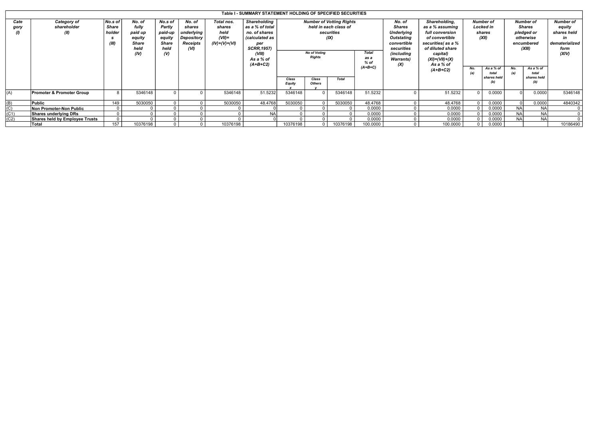|                          |                                    |                                     |                                                               |                                                                            |                                                                  |                                                              | Table I - SUMMARY STATEMENT HOLDING OF SPECIFIED SECURITIES                                                                         |                                                                                                                                                          |                        |              |           |                                                                                                                                   |                                                                                                                                                                 |                                                         |                                          |                                                                                      |                                          |                                                                              |
|--------------------------|------------------------------------|-------------------------------------|---------------------------------------------------------------|----------------------------------------------------------------------------|------------------------------------------------------------------|--------------------------------------------------------------|-------------------------------------------------------------------------------------------------------------------------------------|----------------------------------------------------------------------------------------------------------------------------------------------------------|------------------------|--------------|-----------|-----------------------------------------------------------------------------------------------------------------------------------|-----------------------------------------------------------------------------------------------------------------------------------------------------------------|---------------------------------------------------------|------------------------------------------|--------------------------------------------------------------------------------------|------------------------------------------|------------------------------------------------------------------------------|
| Cate<br>gory<br>$\theta$ | Category of<br>shareholder<br>(II) | No.s of<br>Share<br>holder<br>(III) | No. of<br>fully<br>paid up<br>equity<br>Share<br>held<br>(IV) | No.s of<br>Partly<br>paid-up<br>equity<br><b>Share</b><br>held<br>$\omega$ | No. of<br>shares<br>underlying<br>Depository<br>Receipts<br>(VI) | Total nos.<br>shares<br>held<br>$(VII)$ =<br>$(IV)+(V)+(VI)$ | Shareholding<br>as a % of total<br>no. of shares<br>(calculated as<br>per<br><b>SCRR,1957)</b><br>(VIII)<br>As a % of<br>$(A+B+C2)$ | <b>Number of Votting Rights</b><br>held in each class of<br>securities<br>(IX)<br><b>No of Votina</b><br><b>Total</b><br><b>Rights</b><br>as a<br>$%$ of |                        |              |           | No. of<br><b>Shares</b><br><b>Underlying</b><br>Outstating<br>convertible<br>securities<br>(including<br><b>Warrants</b> )<br>(X) | Shareholding,<br>as a % assuming<br>full conversion<br>of convertible<br>securities(as a %<br>of diluted share<br>capital)<br>$(XI) = (VII) + (X)$<br>As a % of | <b>Number of</b><br><b>Locked</b> in<br>shares<br>(XII) |                                          | <b>Number of</b><br><b>Shares</b><br>pledged or<br>otherwise<br>encumbered<br>(XIII) |                                          | <b>Number of</b><br>equity<br>shares held<br>dematerialized<br>form<br>(XIV) |
|                          |                                    |                                     |                                                               |                                                                            |                                                                  |                                                              |                                                                                                                                     | Class<br>Equity                                                                                                                                          | Class<br><b>Others</b> | <b>Total</b> | $(A+B+C)$ |                                                                                                                                   | $(A+B+C2)$                                                                                                                                                      | No.                                                     | As a % of<br>total<br>shares held<br>(b) | No.                                                                                  | As a % of<br>total<br>shares held<br>(b) |                                                                              |
| (A)                      | Promoter & Promoter Group          | 8                                   | 5346148                                                       |                                                                            |                                                                  | 5346148                                                      | 51.5232                                                                                                                             | 5346148                                                                                                                                                  |                        | 5346148      | 51.5232   |                                                                                                                                   | 51.5232                                                                                                                                                         |                                                         | 0.0000                                   |                                                                                      | 0.0000                                   | 5346148                                                                      |
| (B)                      | Public                             | 149                                 | 5030050                                                       |                                                                            |                                                                  | 5030050                                                      | 48.4768                                                                                                                             | 5030050                                                                                                                                                  |                        | 5030050      | 48.4768   |                                                                                                                                   | 48.4768                                                                                                                                                         |                                                         | 0.0000                                   |                                                                                      | 0.0000                                   | 4840342                                                                      |
| (C)                      | Non Promoter-Non Public            |                                     |                                                               |                                                                            |                                                                  |                                                              |                                                                                                                                     |                                                                                                                                                          |                        |              | 0.0000    |                                                                                                                                   | 0.0000                                                                                                                                                          |                                                         | 0.0000                                   | <b>NA</b>                                                                            | <b>NA</b>                                |                                                                              |
| (C1)                     | Shares underlying DRs              |                                     |                                                               |                                                                            |                                                                  |                                                              | <b>NA</b>                                                                                                                           |                                                                                                                                                          |                        |              | 0.0000    |                                                                                                                                   | 0.0000                                                                                                                                                          |                                                         | 0.0000                                   | <b>NA</b>                                                                            | <b>NA</b>                                |                                                                              |
| (C2)                     | Shares held by Employee Trusts     |                                     |                                                               |                                                                            |                                                                  |                                                              |                                                                                                                                     |                                                                                                                                                          |                        |              | 0.0000    |                                                                                                                                   | 0.0000                                                                                                                                                          |                                                         | 0.0000                                   | NΔ                                                                                   | <b>NA</b>                                |                                                                              |
|                          | <b>Total</b>                       | 157                                 | 10376198                                                      |                                                                            |                                                                  | 10376198                                                     |                                                                                                                                     | 10376198                                                                                                                                                 |                        | 10376198     | 100.0000  |                                                                                                                                   | 100.0000                                                                                                                                                        |                                                         | 0.0000                                   |                                                                                      |                                          | 10186490                                                                     |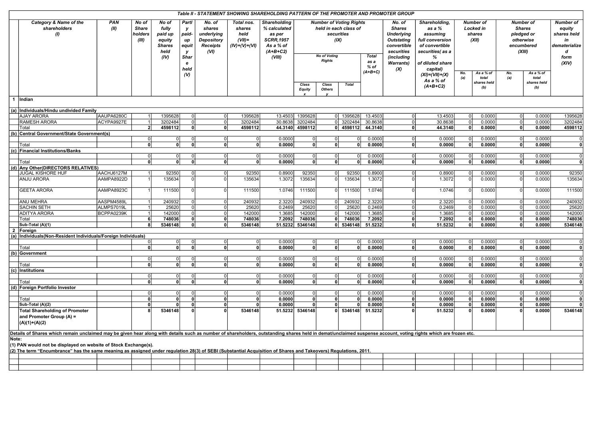|                                                         |                                                                                                                                                                                                                |                          |                              |                    |                      |                         | Table II - STATEMENT SHOWING SHAREHOLDING PATTERN OF THE PROMOTER AND PROMOTER GROUP |                    |                                           |                                                              |                                         |                                                                                |                                                            |                                                                                        |                                                                               |                  |                                  |                                          |                                                                                                |                                                                                             |                                                                                                                                                                                                                                                                   |  |  |                                                                                      |                                                                       |
|---------------------------------------------------------|----------------------------------------------------------------------------------------------------------------------------------------------------------------------------------------------------------------|--------------------------|------------------------------|--------------------|----------------------|-------------------------|--------------------------------------------------------------------------------------|--------------------|-------------------------------------------|--------------------------------------------------------------|-----------------------------------------|--------------------------------------------------------------------------------|------------------------------------------------------------|----------------------------------------------------------------------------------------|-------------------------------------------------------------------------------|------------------|----------------------------------|------------------------------------------|------------------------------------------------------------------------------------------------|---------------------------------------------------------------------------------------------|-------------------------------------------------------------------------------------------------------------------------------------------------------------------------------------------------------------------------------------------------------------------|--|--|--------------------------------------------------------------------------------------|-----------------------------------------------------------------------|
| Category & Name of the<br>shareholders<br>$\mathcal{U}$ | PAN<br>(II)                                                                                                                                                                                                    |                          |                              |                    |                      |                         |                                                                                      |                    | No of<br><b>Share</b><br>holders<br>(III) | No of<br>fully<br>paid up<br>equity<br><b>Shares</b><br>held | Partl<br>v<br>paid-<br>иp<br>equit<br>y | No. of<br>shares<br>underlying<br><b>Depository</b><br><b>Receipts</b><br>(VI) | Total nos.<br>shares<br>held<br>$(VII)$ =<br>(IV)+(V)+(VI) | Shareholding<br>% calculated<br>as per<br><b>SCRR, 1957</b><br>As a % of<br>$(A+B+C2)$ | <b>Number of Voting Rights</b><br>held in each class of<br>securities<br>(IX) |                  |                                  |                                          | No. of<br><b>Shares</b><br><b>Underlying</b><br><b>Outstating</b><br>convertible<br>securities | Shareholding,<br>as a %<br>assuming<br>full conversion<br>of convertible<br>securities(as a | Number of<br>Locked in<br>shares<br>(XII)<br>As a % of<br>No.<br>total<br>(a)<br>shares held<br>(b)<br>0.0000<br>0l<br>0.0000<br>01<br> 0 <br>0.0000<br>0.0000<br>$\Omega$<br>0.0000<br>0<br>$\Omega$<br>0<br>0.0000<br>0.0000<br>O<br>0.0000<br>0.0000<br>0.0000 |  |  | <b>Number of</b><br><b>Shares</b><br>pledged or<br>otherwise<br>encumbered<br>(XIII) | <b>Number of</b><br>equity<br>shares held<br>in<br>dematerialize<br>d |
|                                                         |                                                                                                                                                                                                                |                          |                              | (IV)               | Shar<br>e            |                         |                                                                                      | (VIII)             |                                           | <b>No of Voting</b><br><b>Rights</b>                         |                                         | <b>Total</b><br>as a                                                           | (including<br><b>Warrants</b> )                            | %<br>of diluted share                                                                  |                                                                               |                  |                                  |                                          | form<br>(XIV)                                                                                  |                                                                                             |                                                                                                                                                                                                                                                                   |  |  |                                                                                      |                                                                       |
|                                                         |                                                                                                                                                                                                                |                          |                              |                    | held<br>$\omega$     |                         |                                                                                      |                    | Class<br><b>Equity</b>                    | Class<br><b>Others</b>                                       | <b>Total</b>                            | % of<br>$(A+B+C)$                                                              | (X)                                                        | capital)<br>$(XI) = (VII) + (X)$<br>As a % of<br>$(A+B+C2)$                            |                                                                               |                  | No.<br>(a)                       | As a % of<br>total<br>shares held<br>(b) |                                                                                                |                                                                                             |                                                                                                                                                                                                                                                                   |  |  |                                                                                      |                                                                       |
|                                                         | 1 Indian                                                                                                                                                                                                       |                          |                              |                    |                      |                         |                                                                                      |                    |                                           |                                                              |                                         |                                                                                |                                                            |                                                                                        |                                                                               |                  |                                  |                                          |                                                                                                |                                                                                             |                                                                                                                                                                                                                                                                   |  |  |                                                                                      |                                                                       |
|                                                         |                                                                                                                                                                                                                |                          |                              |                    |                      |                         |                                                                                      |                    |                                           |                                                              |                                         |                                                                                |                                                            |                                                                                        |                                                                               |                  |                                  |                                          |                                                                                                |                                                                                             |                                                                                                                                                                                                                                                                   |  |  |                                                                                      |                                                                       |
|                                                         | (a) Individuals/Hindu undivided Family                                                                                                                                                                         |                          |                              |                    |                      |                         |                                                                                      |                    |                                           |                                                              |                                         |                                                                                |                                                            |                                                                                        |                                                                               |                  |                                  |                                          |                                                                                                |                                                                                             |                                                                                                                                                                                                                                                                   |  |  |                                                                                      |                                                                       |
|                                                         | <b>AJAY ARORA</b><br><b>RAMESH ARORA</b>                                                                                                                                                                       | AAUPA6280C<br>ACYPA9927E | 1<br>1                       | 1395628<br>3202484 | $\Omega$<br>$\Omega$ | 0 <br>$\overline{0}$    | 1395628<br>3202484                                                                   | 13.4503<br>30.8638 | 1395628<br>3202484                        |                                                              | 0 1395628<br>0 3202484                  | 13.4503<br>30.8638                                                             | 0 <br> 0                                                   | 13.4503<br>30.8638                                                                     |                                                                               |                  | $\overline{0}$<br>$\overline{0}$ | 0.0000<br>0.0000                         | 1395628<br>3202484                                                                             |                                                                                             |                                                                                                                                                                                                                                                                   |  |  |                                                                                      |                                                                       |
|                                                         | Total                                                                                                                                                                                                          |                          | $\overline{2}$               | 4598112            | 0                    | 0                       | 4598112                                                                              |                    | 44.3140 4598112                           |                                                              | 0 4598112 44.3140                       |                                                                                | 0                                                          | 44.3140                                                                                |                                                                               |                  | $\overline{\mathbf{0}}$          | 0.0000                                   | 4598112                                                                                        |                                                                                             |                                                                                                                                                                                                                                                                   |  |  |                                                                                      |                                                                       |
|                                                         | (b) Central Government/State Government(s)                                                                                                                                                                     |                          |                              |                    |                      |                         |                                                                                      |                    |                                           |                                                              |                                         |                                                                                |                                                            |                                                                                        |                                                                               |                  |                                  |                                          |                                                                                                |                                                                                             |                                                                                                                                                                                                                                                                   |  |  |                                                                                      |                                                                       |
|                                                         |                                                                                                                                                                                                                |                          | 0                            | ΩI                 |                      | $\overline{0}$          | 0                                                                                    | 0.0000             | 0                                         | $\mathbf 0$                                                  | 0l                                      | 0.0000                                                                         | 0                                                          | 0.0000                                                                                 |                                                                               |                  | $\overline{0}$                   | 0.0000                                   | 0                                                                                              |                                                                                             |                                                                                                                                                                                                                                                                   |  |  |                                                                                      |                                                                       |
|                                                         | Total                                                                                                                                                                                                          |                          | $\Omega$                     | n١                 | Û                    | 0                       | 0                                                                                    | 0.0000             | 0                                         | 0                                                            | 0                                       | 0.0000                                                                         | 0                                                          | 0.0000                                                                                 |                                                                               |                  | 0l                               | 0.0000                                   | 0                                                                                              |                                                                                             |                                                                                                                                                                                                                                                                   |  |  |                                                                                      |                                                                       |
|                                                         | (c) Financial Institutions/Banks                                                                                                                                                                               |                          |                              |                    |                      |                         |                                                                                      |                    |                                           |                                                              |                                         |                                                                                |                                                            |                                                                                        |                                                                               |                  |                                  |                                          |                                                                                                |                                                                                             |                                                                                                                                                                                                                                                                   |  |  |                                                                                      |                                                                       |
|                                                         |                                                                                                                                                                                                                |                          | $\overline{0}$               | ΩI                 |                      | 0                       | $\overline{0}$                                                                       | 0.0000             | 0                                         | $\mathbf 0$                                                  | $\Omega$                                | 0.0000                                                                         | $\overline{0}$                                             | 0.0000                                                                                 |                                                                               | 0.0000           | 0                                | 0.0000                                   | $\overline{0}$                                                                                 |                                                                                             |                                                                                                                                                                                                                                                                   |  |  |                                                                                      |                                                                       |
|                                                         | Total                                                                                                                                                                                                          |                          | 0                            | n١                 | $\Omega$             | 0                       | 0                                                                                    | 0.0000             | 0                                         | 0                                                            | $\Omega$                                | 0.0000                                                                         | 0                                                          | 0.0000                                                                                 |                                                                               |                  | - O I                            | 0.0000                                   | $\mathbf{0}$                                                                                   |                                                                                             |                                                                                                                                                                                                                                                                   |  |  |                                                                                      |                                                                       |
|                                                         | (d) Any Other (DIRECTORS RELATIVES)                                                                                                                                                                            |                          |                              |                    |                      |                         |                                                                                      |                    |                                           |                                                              |                                         |                                                                                |                                                            |                                                                                        |                                                                               |                  |                                  |                                          |                                                                                                |                                                                                             |                                                                                                                                                                                                                                                                   |  |  |                                                                                      |                                                                       |
|                                                         | JUGAL KISHORE HUF                                                                                                                                                                                              | AACHJ6127M               | $\vert$ 1                    | 92350              | $\Omega$             | 0                       | 92350                                                                                | 0.8900             | 92350                                     | $\overline{0}$                                               | 92350                                   | 0.8900                                                                         | 0                                                          | 0.8900                                                                                 |                                                                               |                  | 0                                | 0.0000                                   | 92350                                                                                          |                                                                                             |                                                                                                                                                                                                                                                                   |  |  |                                                                                      |                                                                       |
|                                                         | ANJU ARORA                                                                                                                                                                                                     | AAMPA8922D               |                              | 135634             | 0l                   | 0                       | 135634                                                                               | 1.3072             | 135634                                    | $\Omega$                                                     | 135634                                  | 1.3072                                                                         | 0l                                                         | 1.3072                                                                                 |                                                                               |                  | 0                                | 0.0000                                   | 135634                                                                                         |                                                                                             |                                                                                                                                                                                                                                                                   |  |  |                                                                                      |                                                                       |
|                                                         | <b>GEETA ARORA</b>                                                                                                                                                                                             | AAMPA8923C               |                              | 111500             |                      | $\Omega$                | 111500                                                                               | 1.0746             | 111500                                    | $\Omega$                                                     | 111500                                  | 1.0746                                                                         | $\Omega$                                                   | 1.0746                                                                                 |                                                                               |                  | $\Omega$                         | 0.0000                                   | 111500                                                                                         |                                                                                             |                                                                                                                                                                                                                                                                   |  |  |                                                                                      |                                                                       |
|                                                         | <b>ANU MEHRA</b>                                                                                                                                                                                               | AASPM4589L               |                              | 240932             | $\Omega$             | 0                       | 240932                                                                               | 2.3220             | 240932                                    | $\overline{0}$                                               | 240932                                  | 2.3220                                                                         | 0                                                          | 2.3220                                                                                 |                                                                               |                  | 0                                | 0.0000                                   | 240932                                                                                         |                                                                                             |                                                                                                                                                                                                                                                                   |  |  |                                                                                      |                                                                       |
|                                                         | <b>SACHIN SETH</b>                                                                                                                                                                                             | ALMPS7019L               |                              | 25620              |                      | 0                       | 25620                                                                                | 0.2469             | 25620                                     | $\mathbf 0$                                                  | 25620                                   | 0.2469                                                                         | 0                                                          | 0.2469                                                                                 |                                                                               | 0.0000           | 0                                | 0.0000                                   | 25620                                                                                          |                                                                                             |                                                                                                                                                                                                                                                                   |  |  |                                                                                      |                                                                       |
|                                                         | <b>ADITYA ARORA</b>                                                                                                                                                                                            | BCPPA0239K               |                              | 142000             |                      | 0                       | 142000                                                                               | 1.3685             | 142000                                    | $\mathbf 0$                                                  | 142000                                  | 1.3685                                                                         | $\mathbf 0$                                                | 1.3685                                                                                 |                                                                               | 0.0000           | 0                                | 0.0000                                   | 142000                                                                                         |                                                                                             |                                                                                                                                                                                                                                                                   |  |  |                                                                                      |                                                                       |
|                                                         | Total                                                                                                                                                                                                          |                          | 6                            | 748036             | n١                   | 0                       | 748036                                                                               | 7.2092             | 748036                                    | 0                                                            | 748036                                  | 7.2092                                                                         | 0                                                          | 7.2092                                                                                 | $\Omega$                                                                      | 0.0000           | $\Omega$                         | 0.0000                                   | 748036                                                                                         |                                                                                             |                                                                                                                                                                                                                                                                   |  |  |                                                                                      |                                                                       |
|                                                         | Sub-Total (A)(1)                                                                                                                                                                                               |                          | 8                            | 5346148            | 0                    | 0                       | 5346148                                                                              | 51.5232            | 5346148                                   |                                                              | $0$ 5346148                             | 51.5232                                                                        | 0                                                          | 51.5232                                                                                | 0                                                                             | 0.0000           | $\mathbf{0}$                     | 0.0000                                   | 5346148                                                                                        |                                                                                             |                                                                                                                                                                                                                                                                   |  |  |                                                                                      |                                                                       |
| $\overline{2}$                                          | Foreign                                                                                                                                                                                                        |                          |                              |                    |                      |                         |                                                                                      |                    |                                           |                                                              |                                         |                                                                                |                                                            |                                                                                        |                                                                               |                  |                                  |                                          |                                                                                                |                                                                                             |                                                                                                                                                                                                                                                                   |  |  |                                                                                      |                                                                       |
| (a)                                                     | Individuals (Non-Resident Individuals/Foreign Individuals)                                                                                                                                                     |                          | 0                            | ΩI                 |                      | 0                       | 0                                                                                    | 0.0000             | 0                                         | $\mathbf 0$                                                  | οI                                      | 0.0000                                                                         | 0                                                          | 0.0000                                                                                 | $\Omega$                                                                      | 0.0000           | $\overline{0}$                   | 0.0000                                   | $\overline{0}$                                                                                 |                                                                                             |                                                                                                                                                                                                                                                                   |  |  |                                                                                      |                                                                       |
|                                                         | Total                                                                                                                                                                                                          |                          | $\mathbf{0}$                 |                    |                      | 0                       | 0                                                                                    | 0.0000             | $\mathbf{0}$                              | 0                                                            | 0                                       | 0.0000                                                                         | 0                                                          | 0.0000                                                                                 | 0                                                                             | 0.0000           | 0                                | 0.0000                                   | 0                                                                                              |                                                                                             |                                                                                                                                                                                                                                                                   |  |  |                                                                                      |                                                                       |
|                                                         | (b) Government                                                                                                                                                                                                 |                          |                              |                    |                      |                         |                                                                                      |                    |                                           |                                                              |                                         |                                                                                |                                                            |                                                                                        |                                                                               |                  |                                  |                                          |                                                                                                |                                                                                             |                                                                                                                                                                                                                                                                   |  |  |                                                                                      |                                                                       |
|                                                         |                                                                                                                                                                                                                |                          | 0                            | $\Omega$           |                      | 0                       | 0                                                                                    | 0.0000             | 0                                         | $\overline{0}$                                               | 0                                       | 0.0000                                                                         | 0                                                          | 0.0000                                                                                 | $\Omega$                                                                      | 0.0000           | $\overline{0}$                   | 0.0000                                   | $\overline{0}$                                                                                 |                                                                                             |                                                                                                                                                                                                                                                                   |  |  |                                                                                      |                                                                       |
|                                                         | Total                                                                                                                                                                                                          |                          | $\Omega$                     | ΩI                 | $\mathbf{0}$         | 0                       | 0                                                                                    | 0.0000             | $\mathbf{0}$                              | 0                                                            | 0                                       | 0.0000                                                                         | 0                                                          | 0.0000                                                                                 | 0                                                                             | 0.0000           | 0                                | 0.0000                                   | 0                                                                                              |                                                                                             |                                                                                                                                                                                                                                                                   |  |  |                                                                                      |                                                                       |
| (c)                                                     | Institutions                                                                                                                                                                                                   |                          |                              |                    |                      |                         |                                                                                      |                    |                                           |                                                              |                                         |                                                                                |                                                            |                                                                                        |                                                                               |                  |                                  |                                          |                                                                                                |                                                                                             |                                                                                                                                                                                                                                                                   |  |  |                                                                                      |                                                                       |
|                                                         |                                                                                                                                                                                                                |                          | 0                            |                    |                      | 0                       | 0                                                                                    | 0.0000             | 0                                         | 0                                                            | 0                                       | 0.0000                                                                         | 0                                                          | 0.0000                                                                                 | 0                                                                             | 0.0000           | $\overline{0}$                   | 0.0000                                   | $\overline{0}$                                                                                 |                                                                                             |                                                                                                                                                                                                                                                                   |  |  |                                                                                      |                                                                       |
|                                                         | Total                                                                                                                                                                                                          |                          | $\overline{0}$               | ٥I                 | $\Omega$             | $\overline{\mathbf{0}}$ | 0                                                                                    | 0.0000             | $\overline{0}$                            | 0                                                            | 0                                       | 0.0000                                                                         | $\overline{0}$                                             | 0.0000                                                                                 | $\overline{0}$                                                                | 0.0000           | $\mathbf{0}$                     | 0.0000                                   | 0                                                                                              |                                                                                             |                                                                                                                                                                                                                                                                   |  |  |                                                                                      |                                                                       |
|                                                         | (d) Foreign Portfolio Investor                                                                                                                                                                                 |                          |                              |                    |                      |                         |                                                                                      |                    |                                           |                                                              |                                         |                                                                                |                                                            |                                                                                        |                                                                               |                  |                                  |                                          |                                                                                                |                                                                                             |                                                                                                                                                                                                                                                                   |  |  |                                                                                      |                                                                       |
|                                                         |                                                                                                                                                                                                                |                          | $\Omega$                     | οI                 |                      | 0                       | 0                                                                                    | 0.0000             | $\overline{0}$                            | $\mathbf 0$                                                  | $\Omega$                                | 0.0000                                                                         | 0                                                          | 0.0000                                                                                 | $\Omega$                                                                      | 0.0000           | 0                                | 0.0000                                   | $\Omega$                                                                                       |                                                                                             |                                                                                                                                                                                                                                                                   |  |  |                                                                                      |                                                                       |
|                                                         | Total<br>Sub-Total (A)(2)                                                                                                                                                                                      |                          | $\mathbf{0}$<br>$\mathbf{0}$ | 0l<br>ΩI           | 0<br>٥I              | 0                       | 0<br>0                                                                               | 0.0000             | $\mathbf{0}$<br>$\mathbf{0}$              | $\mathbf 0$<br>$\mathbf{0}$                                  | $\mathbf{0}$                            | 0.0000                                                                         | 0                                                          | 0.0000                                                                                 | $\mathbf{0}$<br>$\mathbf{0}$                                                  | 0.0000           | 0 <br>$\mathbf{0}$               | 0.0000                                   | $\mathbf{0}$<br>$\mathbf{0}$                                                                   |                                                                                             |                                                                                                                                                                                                                                                                   |  |  |                                                                                      |                                                                       |
|                                                         | <b>Total Shareholding of Promoter</b>                                                                                                                                                                          |                          |                              | 5346148            | n.                   | 0<br>$\mathbf{0}$       | 5346148                                                                              | 0.0000<br>51.5232  | 5346148                                   | $\Omega$                                                     | 0<br>5346148                            | 0.0000<br>51.5232                                                              | 0 <br>$\mathbf{0}$                                         | 0.0000<br>51.5232                                                                      | O                                                                             | 0.0000<br>0.0000 | $\Omega$                         | 0.0000<br>0.0000                         | 5346148                                                                                        |                                                                                             |                                                                                                                                                                                                                                                                   |  |  |                                                                                      |                                                                       |
|                                                         | and Promoter Group $(A)$ =<br>$(A)(1)+(A)(2)$                                                                                                                                                                  |                          |                              |                    |                      |                         |                                                                                      |                    |                                           |                                                              |                                         |                                                                                |                                                            |                                                                                        |                                                                               |                  |                                  |                                          |                                                                                                |                                                                                             |                                                                                                                                                                                                                                                                   |  |  |                                                                                      |                                                                       |
|                                                         | Details of Shares which remain unclaimed may be given hear along with details such as number of shareholders, outstanding shares held in demat/unclaimed suspense account, voting rights which are frozen etc. |                          |                              |                    |                      |                         |                                                                                      |                    |                                           |                                                              |                                         |                                                                                |                                                            |                                                                                        |                                                                               |                  |                                  |                                          |                                                                                                |                                                                                             |                                                                                                                                                                                                                                                                   |  |  |                                                                                      |                                                                       |
| Note:                                                   | (1) PAN would not be displayed on website of Stock Exchange(s).                                                                                                                                                |                          |                              |                    |                      |                         |                                                                                      |                    |                                           |                                                              |                                         |                                                                                |                                                            |                                                                                        |                                                                               |                  |                                  |                                          |                                                                                                |                                                                                             |                                                                                                                                                                                                                                                                   |  |  |                                                                                      |                                                                       |
|                                                         | <u>(2) The term "Encumbrance" has the same meaning as assigned under regulation 28(3) of SEBI (Substantial Acquisition of Shares and Takeovers) Regulations. 2011</u>                                          |                          |                              |                    |                      |                         |                                                                                      |                    |                                           |                                                              |                                         |                                                                                |                                                            |                                                                                        |                                                                               |                  |                                  |                                          |                                                                                                |                                                                                             |                                                                                                                                                                                                                                                                   |  |  |                                                                                      |                                                                       |
|                                                         |                                                                                                                                                                                                                |                          |                              |                    |                      |                         |                                                                                      |                    |                                           |                                                              |                                         |                                                                                |                                                            |                                                                                        |                                                                               |                  |                                  |                                          |                                                                                                |                                                                                             |                                                                                                                                                                                                                                                                   |  |  |                                                                                      |                                                                       |
|                                                         |                                                                                                                                                                                                                |                          |                              |                    |                      |                         |                                                                                      |                    |                                           |                                                              |                                         |                                                                                |                                                            |                                                                                        |                                                                               |                  |                                  |                                          |                                                                                                |                                                                                             |                                                                                                                                                                                                                                                                   |  |  |                                                                                      |                                                                       |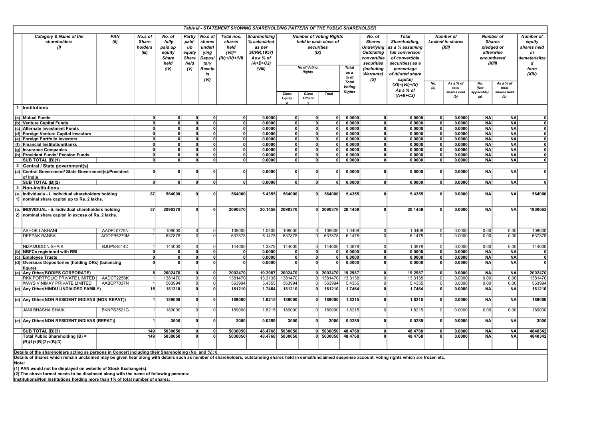|                                                                                                               |                                                                                                 |                   |                                             |                                                                      |                                                                          |                                                                               |                                                              | Table III - STATEMENT SHOWING SHAREHOLDING PATTERN OF THE PUBLIC SHAREHOLDER                             |                         |                                                                                                                                                 |              |                                                                           |                                                                                                                                                                                                                                                                                                                                                            |         |                                                                                                                |           |                                                                                                                                                                       |           |                                                                                        |
|---------------------------------------------------------------------------------------------------------------|-------------------------------------------------------------------------------------------------|-------------------|---------------------------------------------|----------------------------------------------------------------------|--------------------------------------------------------------------------|-------------------------------------------------------------------------------|--------------------------------------------------------------|----------------------------------------------------------------------------------------------------------|-------------------------|-------------------------------------------------------------------------------------------------------------------------------------------------|--------------|---------------------------------------------------------------------------|------------------------------------------------------------------------------------------------------------------------------------------------------------------------------------------------------------------------------------------------------------------------------------------------------------------------------------------------------------|---------|----------------------------------------------------------------------------------------------------------------|-----------|-----------------------------------------------------------------------------------------------------------------------------------------------------------------------|-----------|----------------------------------------------------------------------------------------|
|                                                                                                               | Category & Name of the<br>shareholders<br>(1)                                                   | PAN<br>(II)       | No.s of<br><b>Share</b><br>holders<br>(III) | No. of<br>fully<br>paid up<br>equity<br><b>Share</b><br>held<br>(IV) | Partly<br>paid-<br>up<br>equity<br><b>Share</b><br>held<br>$\mathcal{U}$ | No.s of<br>shares<br>underl<br>ying<br>Deposi<br>tory<br>Receip<br>ts<br>(VI) | Total nos.<br>shares<br>held<br>$(VII)$ =<br>$(IV)+(V)+(VI)$ | <b>Shareholding</b><br>% calculated<br>as per<br><b>SCRR, 1957)</b><br>As a % of<br>$(A+B+C2)$<br>(VIII) | Class<br><b>Equity</b>  | <b>Number of Voting Rights</b><br>held in each class of<br>securities<br>(IX)<br><b>No of Voting</b><br><b>Rights</b><br>Class<br><b>Others</b> | <b>Total</b> | <b>Total</b><br>as a<br>$%$ of<br><b>Total</b><br>Voting<br><b>Rights</b> | <b>Total</b><br>No. of<br><b>Shares</b><br>Shareholding,<br><b>Underlying</b><br>as a % assuming<br><b>Outstating</b><br>full conversion<br>convertible<br>of convertible<br>securities<br>securities(as a<br>(including<br>percentage<br>of diluted share<br><b>Warrants</b> )<br>capital)<br>$\alpha$<br>$(XI) = (VII) + (X)$<br>As a % of<br>$(A+B+C2)$ |         | <b>Number of</b><br><b>Locked in shares</b><br>(XII)<br>As a % of<br>No.<br>(a)<br>total<br>shares held<br>(b) |           | <b>Number of</b><br><b>Shares</b><br>pledged or<br>otherwise<br>encumbered<br>(XIII)<br>As a % of<br>No.<br>(Not<br>total<br>applicable)<br>shares held<br>(a)<br>(b) |           | <b>Number of</b><br>equity<br>shares held<br>in<br>dematerialize<br>d<br>form<br>(XIV) |
|                                                                                                               | 1 Institutions                                                                                  |                   |                                             |                                                                      |                                                                          |                                                                               |                                                              |                                                                                                          |                         |                                                                                                                                                 |              |                                                                           |                                                                                                                                                                                                                                                                                                                                                            |         |                                                                                                                |           |                                                                                                                                                                       |           |                                                                                        |
|                                                                                                               | (a) Mutual Funds                                                                                |                   | $\Omega$                                    | $\Omega$                                                             | $\Omega$                                                                 | O                                                                             | $\Omega$                                                     | 0.0000                                                                                                   | $\mathbf{0}$            | 0                                                                                                                                               | 0l           | 0.0000                                                                    | 0                                                                                                                                                                                                                                                                                                                                                          | 0.0000  | 0l                                                                                                             | 0.0000    | <b>NA</b>                                                                                                                                                             | <b>NA</b> | $\mathbf{0}$                                                                           |
|                                                                                                               | (b) Venture Capital Funds                                                                       |                   | $\Omega$                                    | ΩI                                                                   | 0l                                                                       | 0                                                                             | 0l                                                           | 0.0000                                                                                                   | $\mathbf{0}$            | 0                                                                                                                                               | 0l           | 0.0000                                                                    | 0                                                                                                                                                                                                                                                                                                                                                          | 0.0000  | 0l                                                                                                             | 0.0000    | <b>NA</b>                                                                                                                                                             | <b>NA</b> | 0                                                                                      |
|                                                                                                               | (c) Alternate Investment Funds                                                                  |                   | $\Omega$                                    | οl                                                                   | $\Omega$                                                                 | 0                                                                             | 0                                                            | 0.0000                                                                                                   | $\overline{\mathbf{0}}$ | 0                                                                                                                                               | 0            | 0.0000                                                                    | 0                                                                                                                                                                                                                                                                                                                                                          | 0.0000  | οl                                                                                                             | 0.0000    | <b>NA</b>                                                                                                                                                             | <b>NA</b> | ᇬ                                                                                      |
|                                                                                                               | (d) Foreign Venture Capital Investors                                                           |                   | $\Omega$                                    | οl                                                                   | $\Omega$                                                                 | 0                                                                             | οl                                                           | 0.0000                                                                                                   | $\mathbf{0}$            | 0                                                                                                                                               | - O I        | 0.0000                                                                    | 0                                                                                                                                                                                                                                                                                                                                                          | 0.0000  | 0l                                                                                                             | 0.0000    | <b>NA</b>                                                                                                                                                             | <b>NA</b> | 0                                                                                      |
|                                                                                                               | (e) Foreign Portfolio Investors                                                                 |                   |                                             | $\Omega$                                                             |                                                                          | $\mathbf{0}$                                                                  | $\overline{\mathbf{0}}$                                      | 0.0000                                                                                                   | $\overline{\mathbf{0}}$ | $\overline{0}$                                                                                                                                  | 0            | 0.0000                                                                    | $\overline{\mathbf{0}}$                                                                                                                                                                                                                                                                                                                                    | 0.0000  | 0                                                                                                              | 0.0000    | <b>NA</b>                                                                                                                                                             | <b>NA</b> | $\overline{0}$                                                                         |
|                                                                                                               | (f) Financial Institution/Banks                                                                 |                   | $\Omega$                                    | O                                                                    | n                                                                        | $\mathbf{0}$                                                                  | 0                                                            | 0.0000                                                                                                   | $\mathbf{0}$            | 0                                                                                                                                               | 0 I          | 0.0000                                                                    | 0                                                                                                                                                                                                                                                                                                                                                          | 0.0000  | 0l                                                                                                             | 0.0000    | <b>NA</b>                                                                                                                                                             | <b>NA</b> | 0                                                                                      |
|                                                                                                               | (g) Insurance Companies                                                                         |                   | $\Omega$                                    | n.                                                                   | $\Omega$                                                                 | 0                                                                             | 0                                                            | 0.0000                                                                                                   | $\mathbf{0}$            | 0                                                                                                                                               | 0l           | 0.0000                                                                    | 0                                                                                                                                                                                                                                                                                                                                                          | 0.0000  | 0l                                                                                                             | 0.0000    | <b>NA</b>                                                                                                                                                             | <b>NA</b> | $\mathbf{0}$                                                                           |
|                                                                                                               | (h) Provident Funds/ Pension Funds                                                              |                   | $\Omega$                                    | $\Omega$                                                             | $\Omega$                                                                 | 0                                                                             | 0                                                            | 0.0000                                                                                                   | $\mathbf{0}$            | 0                                                                                                                                               | - O I        | 0.0000                                                                    | 0                                                                                                                                                                                                                                                                                                                                                          | 0.0000  | 0l                                                                                                             | 0.0000    | <b>NA</b>                                                                                                                                                             | <b>NA</b> | 0                                                                                      |
|                                                                                                               | <b>SUB TOTAL (B)(1)</b>                                                                         |                   | 0l                                          | n.                                                                   | 0l                                                                       | οl                                                                            | οl                                                           | 0.0000                                                                                                   | ٥l                      | 0                                                                                                                                               | 0            | 0.0000                                                                    | 0l                                                                                                                                                                                                                                                                                                                                                         | 0.0000  | 0l                                                                                                             | 0.0000    | <b>NA</b>                                                                                                                                                             | <b>NA</b> | 0                                                                                      |
|                                                                                                               | 2 Central / State government(s)                                                                 |                   |                                             |                                                                      |                                                                          |                                                                               |                                                              |                                                                                                          |                         |                                                                                                                                                 |              |                                                                           |                                                                                                                                                                                                                                                                                                                                                            |         |                                                                                                                |           |                                                                                                                                                                       |           |                                                                                        |
|                                                                                                               | (a) Central Government/ State Government(s)/President<br>of India                               |                   | $\Omega$                                    | $\Omega$                                                             | $\Omega$                                                                 | $\mathbf{0}$                                                                  | ol                                                           | 0.0000                                                                                                   | $\mathbf{0}$            | 0                                                                                                                                               | ٥l           | 0.0000                                                                    | 0                                                                                                                                                                                                                                                                                                                                                          | 0.0000  | οl                                                                                                             | 0.0000    | <b>NA</b>                                                                                                                                                             | <b>NA</b> | $\mathbf{0}$                                                                           |
|                                                                                                               | SUB TOTAL (B)(2)                                                                                |                   | $\Omega$                                    | $\Omega$                                                             | $\Omega$                                                                 | 0                                                                             | 0                                                            | 0.0000                                                                                                   | $\Omega$                | $\Omega$                                                                                                                                        | n.           | 0.0000                                                                    | 0                                                                                                                                                                                                                                                                                                                                                          | 0.0000  | 0l                                                                                                             | 0.0000    | <b>NA</b>                                                                                                                                                             | <b>NA</b> | $\mathbf{0}$                                                                           |
|                                                                                                               | 3 Non-institutions                                                                              |                   |                                             |                                                                      |                                                                          |                                                                               |                                                              |                                                                                                          |                         |                                                                                                                                                 |              |                                                                           |                                                                                                                                                                                                                                                                                                                                                            |         |                                                                                                                |           |                                                                                                                                                                       |           |                                                                                        |
| (a.                                                                                                           | Individuals - i. Individual shareholders holding<br>1) nominal share capital up to Rs. 2 lakhs. |                   | 87                                          | 564000                                                               | ſ                                                                        | O                                                                             | 564000                                                       | 5.4355                                                                                                   | 564000                  | O                                                                                                                                               | 564000       | 5.4355                                                                    | $\Omega$                                                                                                                                                                                                                                                                                                                                                   | 5.4355  | οl                                                                                                             | 0.0000    | <b>NA</b>                                                                                                                                                             | <b>NA</b> | 564000                                                                                 |
| INDIVIDUAL - ii. Individual shareholders holding<br>(a.<br>2) nominal share capital in excess of Rs. 2 lakhs. |                                                                                                 | 37                | 2090370                                     | $\Omega$                                                             | n                                                                        | 2090370                                                                       | 20.1458                                                      | 2090370                                                                                                  | $\Omega$                | 2090370                                                                                                                                         | 20.1458      | $\Omega$                                                                  | 20.1458                                                                                                                                                                                                                                                                                                                                                    | n       | 0.0000                                                                                                         | <b>NA</b> | <b>NA</b>                                                                                                                                                             | 1900662   |                                                                                        |
|                                                                                                               | <b>ASHOK LAKHANI</b>                                                                            | AADPL0779N        |                                             | 108000                                                               |                                                                          | $\Omega$                                                                      | 108000                                                       | 1.0408                                                                                                   | 108000                  | $\Omega$                                                                                                                                        | 108000       | 1.0408                                                                    | $\Omega$                                                                                                                                                                                                                                                                                                                                                   | 1.0408  |                                                                                                                | 0.0000    | 0.00                                                                                                                                                                  | 0.00      | 108000                                                                                 |
|                                                                                                               | <b>DEEPAK BANSAL</b>                                                                            | AOOPB6270M        |                                             | 637878                                                               | $\cap$                                                                   | $\Omega$                                                                      | 637878                                                       | 6.1475                                                                                                   | 637878                  | n                                                                                                                                               | 637878       | 6.1475                                                                    | $\Omega$                                                                                                                                                                                                                                                                                                                                                   | 6.1475  | $\Omega$                                                                                                       | 0.0000    | 0.00                                                                                                                                                                  | 0.00      | 637878                                                                                 |
|                                                                                                               | <b>NIZAMUDDIN SHAIK</b>                                                                         | BJUPS4514D        |                                             | 144000                                                               |                                                                          | $\overline{0}$                                                                | 144000                                                       | 1.3878                                                                                                   | 144000                  | 0l                                                                                                                                              | 144000       | 1.3878                                                                    | $\Omega$                                                                                                                                                                                                                                                                                                                                                   | 1.3878  |                                                                                                                | 0.0000    | 0.00                                                                                                                                                                  | 0.00      | 144000                                                                                 |
|                                                                                                               | (b) NBFCs registered with RBI                                                                   |                   | $\Omega$                                    | $\Omega$                                                             | $\Omega$                                                                 | 0                                                                             | $\Omega$                                                     | 0.0000                                                                                                   | $\Omega$                | 0                                                                                                                                               | $\Omega$     | 0.0000                                                                    | 0                                                                                                                                                                                                                                                                                                                                                          | 0.0000  | οl                                                                                                             | 0.0000    | <b>NA</b>                                                                                                                                                             | <b>NA</b> | 0                                                                                      |
|                                                                                                               | (c) Employee Trusts                                                                             |                   |                                             | $\Omega$                                                             |                                                                          | 0                                                                             | $\Omega$                                                     | 0.0000                                                                                                   | $\mathbf{0}$            | 0                                                                                                                                               | $\Omega$     | 0.0000                                                                    | 0                                                                                                                                                                                                                                                                                                                                                          | 0.0000  | $\mathbf{0}$                                                                                                   | 0.0000    | <b>NA</b>                                                                                                                                                             | <b>NA</b> | $\mathbf{0}$                                                                           |
|                                                                                                               | (d) Overseas Depositories (holding DRs) (balancing<br>figure)                                   |                   |                                             |                                                                      |                                                                          | $\mathbf{a}$                                                                  | n.                                                           | 0.0000                                                                                                   | $\Omega$                | ٥l                                                                                                                                              | $\Omega$     | 0.0000                                                                    | $\Omega$                                                                                                                                                                                                                                                                                                                                                   | 0.0000  | $\Omega$                                                                                                       | 0.0000    | <b>NA</b>                                                                                                                                                             | <b>NA</b> | 0                                                                                      |
|                                                                                                               | (e) Any Other (BODIES CORPORATE)                                                                |                   |                                             | 2002470                                                              | O                                                                        | 0                                                                             | 2002470                                                      | 19.2987                                                                                                  | 2002470                 |                                                                                                                                                 | 0   2002470  | 19.2987                                                                   | $\Omega$                                                                                                                                                                                                                                                                                                                                                   | 19.2987 | $\Omega$                                                                                                       | 0.0000    | <b>NA</b>                                                                                                                                                             | <b>NA</b> | 2002470                                                                                |
|                                                                                                               | <b>RKK PORTFOLIO PRIVATE LIMITED</b>                                                            | AADCT2256K        |                                             | 1381470                                                              | $\Omega$                                                                 | $\Omega$                                                                      | 1381470                                                      | 13.3138                                                                                                  | 1381470                 | $\Omega$                                                                                                                                        | 1381470      | 13.3138                                                                   | $\Omega$                                                                                                                                                                                                                                                                                                                                                   | 13.3138 |                                                                                                                | 0.0000    | 0.00                                                                                                                                                                  | 0.00      | 1381470                                                                                |
|                                                                                                               | WAYS VINIMAY PRIVATE LIMITED                                                                    | AABCP7037N        |                                             | 563994                                                               | $\Omega$                                                                 | $\Omega$                                                                      | 563994                                                       | 5.4355                                                                                                   | 563994                  | $\Omega$                                                                                                                                        | 563994       | 5.4355                                                                    | $\Omega$                                                                                                                                                                                                                                                                                                                                                   | 5.4355  |                                                                                                                | 0.0000    | 0.00                                                                                                                                                                  | 0.00      | 563994                                                                                 |
|                                                                                                               | (e) Any Other (HINDU UNDIVIDED FAMILY)                                                          |                   | 15                                          | 181210                                                               | $\Omega$                                                                 | $\Omega$                                                                      | 181210                                                       | 1.7464                                                                                                   | 181210                  | $\Omega$                                                                                                                                        | 181210       | 1.7464                                                                    | <sub>0</sub>                                                                                                                                                                                                                                                                                                                                               | 1.7464  | $\Omega$                                                                                                       | 0.0000    | <b>NA</b>                                                                                                                                                             | <b>NA</b> | 181210                                                                                 |
|                                                                                                               | (e) Any Other (NON RESIDENT INDIANS (NON REPAT))                                                |                   |                                             | 189000                                                               | $\mathbf{0}$                                                             | $\mathbf{a}$                                                                  | 189000                                                       | 1.8215                                                                                                   | 189000                  |                                                                                                                                                 | 189000       | 1.8215                                                                    | n l                                                                                                                                                                                                                                                                                                                                                        | 1.8215  | $\Omega$                                                                                                       | 0.0000    | <b>NA</b>                                                                                                                                                             | <b>NA</b> | 189000                                                                                 |
|                                                                                                               | <b>JANI BHASHA SHAIK</b>                                                                        | <b>BKNPS3521G</b> |                                             | 189000                                                               | $\cap$                                                                   | $\Omega$                                                                      | 189000                                                       | 1.8215                                                                                                   | 189000                  |                                                                                                                                                 | 189000       | 1.8215                                                                    | $\Omega$                                                                                                                                                                                                                                                                                                                                                   | 1.8215  |                                                                                                                | 0.0000    | 0.00                                                                                                                                                                  | 0.00      | 189000                                                                                 |
|                                                                                                               | (e) Any Other (NON RESIDENT INDIANS (REPAT))                                                    |                   |                                             | 3000                                                                 | $\Omega$                                                                 | 0l                                                                            | 3000                                                         | 0.0289                                                                                                   | 3000                    | $\Omega$                                                                                                                                        | 3000         | 0.0289                                                                    | ΩI                                                                                                                                                                                                                                                                                                                                                         | 0.0289  | $\mathbf{r}$                                                                                                   | 0.0000    | <b>NA</b>                                                                                                                                                             | <b>NA</b> | 3000                                                                                   |
|                                                                                                               | SUB TOTAL (B)(3)                                                                                |                   | 149                                         | 5030050                                                              |                                                                          | $\mathbf{0}$                                                                  | 5030050                                                      | 48.4768                                                                                                  | 5030050                 | $\Omega$                                                                                                                                        | 5030050      | 48.4768                                                                   | $\Omega$                                                                                                                                                                                                                                                                                                                                                   | 48.4768 |                                                                                                                | 0.0000    | <b>NA</b>                                                                                                                                                             | <b>NA</b> | 4840342                                                                                |
|                                                                                                               | Total Public Shareholding (B) =<br>$(B)(1)+(B)(2)+(B)(3)$                                       |                   | 149                                         | 5030050                                                              |                                                                          |                                                                               | 5030050                                                      | 48.4768                                                                                                  | 5030050                 |                                                                                                                                                 | 5030050      | 48.4768                                                                   | $\mathbf{r}$                                                                                                                                                                                                                                                                                                                                               | 48.4768 | ΩI                                                                                                             | 0.0000    | <b>NA</b>                                                                                                                                                             | <b>NA</b> | 4840342                                                                                |

Details of the shareholders acting as persons in Concert including their Shareholding (No. and %): 0<br>Details of Shares which remain unclaimed may be given hear along with details such as number of shareholders, outstanding

Note:

(1) PAN would not be displayed on website of Stock Exchange(s).<br>(2) The above format needs to be disclosed along with the name of following persons:<br>Institutions/Non Institutions holding more than 1% of total number of sha